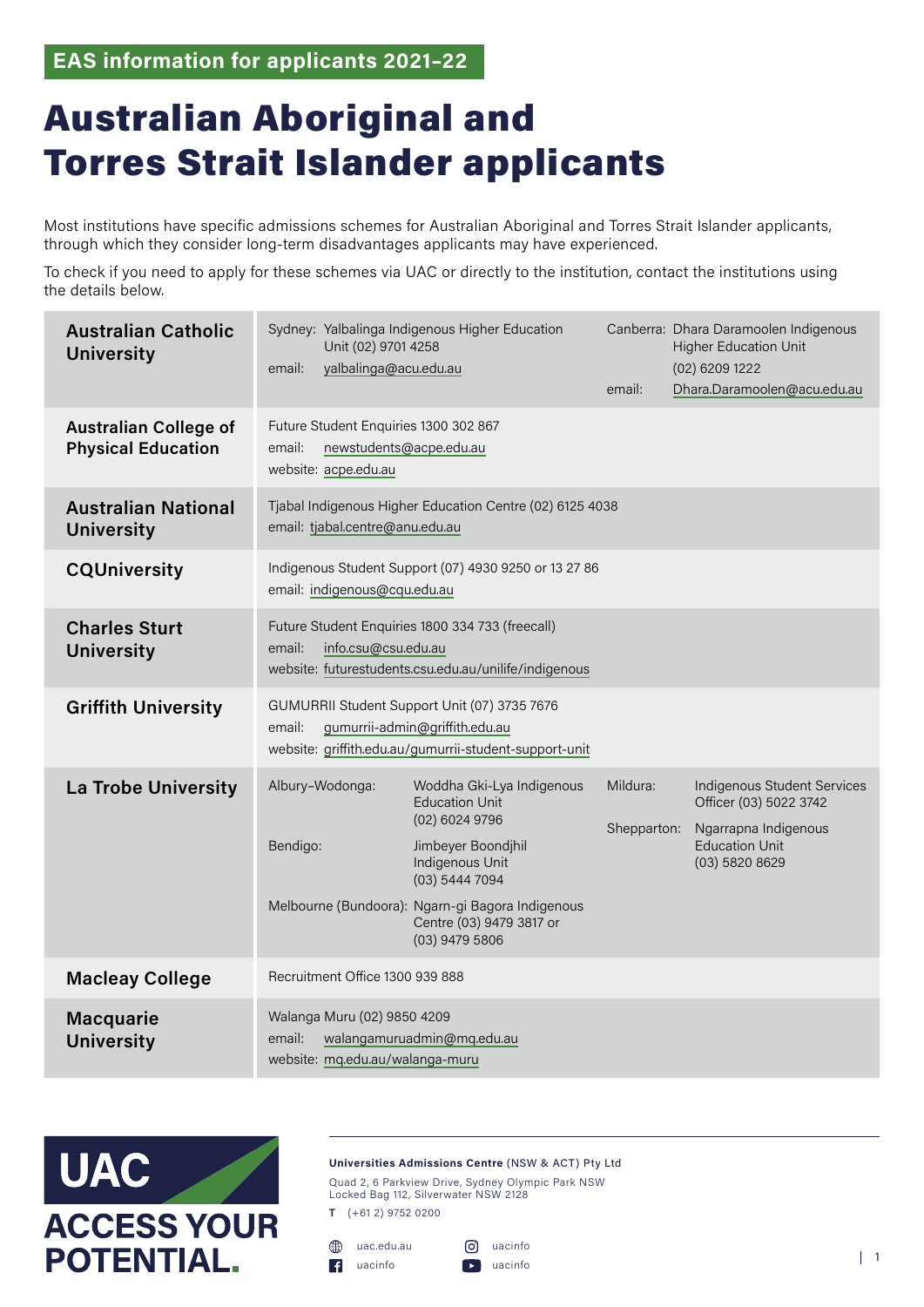**EAS information for applicants 2021–22**

## Australian Aboriginal and Torres Strait Islander applicants

Most institutions have specific admissions schemes for Australian Aboriginal and Torres Strait Islander applicants, through which they consider long-term disadvantages applicants may have experienced.

To check if you need to apply for these schemes via UAC or directly to the institution, contact the institutions using the details below.

| <b>Australian Catholic</b><br><b>University</b>           | Unit (02) 9701 4258<br>yalbalinga@acu.edu.au<br>email:                                                                                             | Sydney: Yalbalinga Indigenous Higher Education                                                   |             | Canberra: Dhara Daramoolen Indigenous<br><b>Higher Education Unit</b><br>$(02)$ 6209 1222 |
|-----------------------------------------------------------|----------------------------------------------------------------------------------------------------------------------------------------------------|--------------------------------------------------------------------------------------------------|-------------|-------------------------------------------------------------------------------------------|
|                                                           |                                                                                                                                                    |                                                                                                  | email:      | Dhara.Daramoolen@acu.edu.au                                                               |
| <b>Australian College of</b><br><b>Physical Education</b> | Future Student Enquiries 1300 302 867<br>email:<br>newstudents@acpe.edu.au<br>website: acpe.edu.au                                                 |                                                                                                  |             |                                                                                           |
| <b>Australian National</b><br><b>University</b>           | Tjabal Indigenous Higher Education Centre (02) 6125 4038<br>email: tjabal.centre@anu.edu.au                                                        |                                                                                                  |             |                                                                                           |
| <b>CQUniversity</b>                                       | Indigenous Student Support (07) 4930 9250 or 13 27 86<br>email: indigenous@cqu.edu.au                                                              |                                                                                                  |             |                                                                                           |
| <b>Charles Sturt</b><br><b>University</b>                 | Future Student Enquiries 1800 334 733 (freecall)<br>email:<br>info.csu@csu.edu.au<br>website: futurestudents.csu.edu.au/unilife/indigenous         |                                                                                                  |             |                                                                                           |
| <b>Griffith University</b>                                | GUMURRII Student Support Unit (07) 3735 7676<br>email:<br>gumurrii-admin@griffith.edu.au<br>website: griffith.edu.au/gumurrii-student-support-unit |                                                                                                  |             |                                                                                           |
| <b>La Trobe University</b>                                | Albury-Wodonga:                                                                                                                                    | Woddha Gki-Lya Indigenous<br><b>Education Unit</b><br>(02) 6024 9796                             | Mildura:    | <b>Indigenous Student Services</b><br>Officer (03) 5022 3742                              |
|                                                           | Bendigo:                                                                                                                                           | Jimbeyer Boondjhil<br>Indigenous Unit<br>$(03)$ 5444 7094                                        | Shepparton: | Ngarrapna Indigenous<br><b>Education Unit</b><br>$(03)$ 5820 8629                         |
|                                                           |                                                                                                                                                    | Melbourne (Bundoora): Ngarn-gi Bagora Indigenous<br>Centre (03) 9479 3817 or<br>$(03)$ 9479 5806 |             |                                                                                           |
| <b>Macleay College</b>                                    | Recruitment Office 1300 939 888                                                                                                                    |                                                                                                  |             |                                                                                           |
| <b>Macquarie</b><br><b>University</b>                     | Walanga Muru (02) 9850 4209<br>email:<br>website: mq.edu.au/walanga-muru                                                                           | walangamuruadmin@mq.edu.au                                                                       |             |                                                                                           |



**Universities Admissions Centre** (NSW & ACT) Pty Ltd

Quad 2, 6 Parkview Drive, Sydney Olympic Park NSW Locked Bag 112, Silverwater NSW 2128

**T** (+61 2) 9752 0200

uac.edu.au [uacinfo](https://www.facebook.com/uacinfo/)

[uacinfo](https://www.instagram.com/uacinfo/) [uacinfo](https://www.youtube.com/channel/UCA48qYtsCaKPDP3P-C3dfdQ) | 1